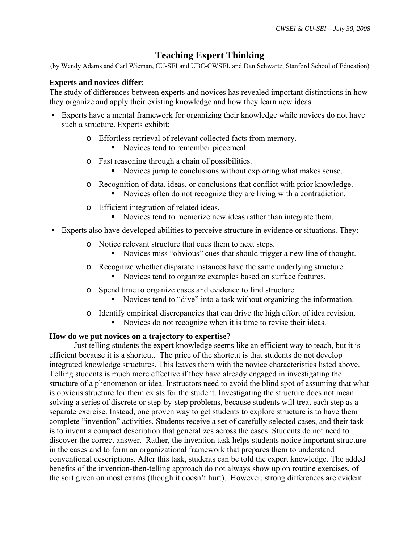# **Teaching Expert Thinking**

(by Wendy Adams and Carl Wieman, CU-SEI and UBC-CWSEI, and Dan Schwartz, Stanford School of Education)

# **Experts and novices differ**:

The study of differences between experts and novices has revealed important distinctions in how they organize and apply their existing knowledge and how they learn new ideas.

- Experts have a mental framework for organizing their knowledge while novices do not have such a structure. Experts exhibit:
	- o Effortless retrieval of relevant collected facts from memory.
		- Novices tend to remember piecemeal.
	- o Fast reasoning through a chain of possibilities.
		- Novices jump to conclusions without exploring what makes sense.
	- o Recognition of data, ideas, or conclusions that conflict with prior knowledge.
		- Novices often do not recognize they are living with a contradiction.
	- o Efficient integration of related ideas.
		- Novices tend to memorize new ideas rather than integrate them.
- Experts also have developed abilities to perceive structure in evidence or situations. They:
	- o Notice relevant structure that cues them to next steps.
		- Novices miss "obvious" cues that should trigger a new line of thought.
	- o Recognize whether disparate instances have the same underlying structure.
		- Novices tend to organize examples based on surface features.
	- o Spend time to organize cases and evidence to find structure.
		- Novices tend to "dive" into a task without organizing the information.
	- o Identify empirical discrepancies that can drive the high effort of idea revision.
		- Novices do not recognize when it is time to revise their ideas.

### **How do we put novices on a trajectory to expertise?**

 Just telling students the expert knowledge seems like an efficient way to teach, but it is efficient because it is a shortcut. The price of the shortcut is that students do not develop integrated knowledge structures. This leaves them with the novice characteristics listed above. Telling students is much more effective if they have already engaged in investigating the structure of a phenomenon or idea. Instructors need to avoid the blind spot of assuming that what is obvious structure for them exists for the student. Investigating the structure does not mean solving a series of discrete or step-by-step problems, because students will treat each step as a separate exercise. Instead, one proven way to get students to explore structure is to have them complete "invention" activities. Students receive a set of carefully selected cases, and their task is to invent a compact description that generalizes across the cases. Students do not need to discover the correct answer. Rather, the invention task helps students notice important structure in the cases and to form an organizational framework that prepares them to understand conventional descriptions. After this task, students can be told the expert knowledge. The added benefits of the invention-then-telling approach do not always show up on routine exercises, of the sort given on most exams (though it doesn't hurt). However, strong differences are evident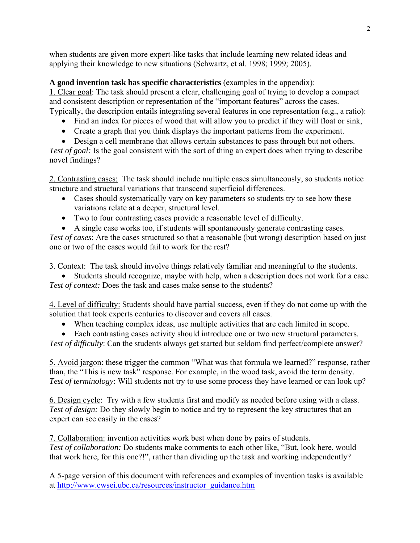when students are given more expert-like tasks that include learning new related ideas and applying their knowledge to new situations (Schwartz, et al. 1998; 1999; 2005).

**A good invention task has specific characteristics** (examples in the appendix): 1. Clear goal: The task should present a clear, challenging goal of trying to develop a compact and consistent description or representation of the "important features" across the cases. Typically, the description entails integrating several features in one representation (e.g., a ratio):

- Find an index for pieces of wood that will allow you to predict if they will float or sink,
- Create a graph that you think displays the important patterns from the experiment.
- Design a cell membrane that allows certain substances to pass through but not others.

*Test of goal:* Is the goal consistent with the sort of thing an expert does when trying to describe novel findings?

2. Contrasting cases: The task should include multiple cases simultaneously, so students notice structure and structural variations that transcend superficial differences.

- Cases should systematically vary on key parameters so students try to see how these variations relate at a deeper, structural level.
- Two to four contrasting cases provide a reasonable level of difficulty.
- A single case works too, if students will spontaneously generate contrasting cases.

*Test of cases*: Are the cases structured so that a reasonable (but wrong) description based on just one or two of the cases would fail to work for the rest?

3. Context: The task should involve things relatively familiar and meaningful to the students.

• Students should recognize, maybe with help, when a description does not work for a case. *Test of context:* Does the task and cases make sense to the students?

4. Level of difficulty: Students should have partial success, even if they do not come up with the solution that took experts centuries to discover and covers all cases.

• When teaching complex ideas, use multiple activities that are each limited in scope.

• Each contrasting cases activity should introduce one or two new structural parameters. *Test of difficulty*: Can the students always get started but seldom find perfect/complete answer?

5. Avoid jargon: these trigger the common "What was that formula we learned?" response, rather than, the "This is new task" response. For example, in the wood task, avoid the term density. *Test of terminology*: Will students not try to use some process they have learned or can look up?

6. Design cycle: Try with a few students first and modify as needed before using with a class. *Test of design:* Do they slowly begin to notice and try to represent the key structures that an expert can see easily in the cases?

7. Collaboration: invention activities work best when done by pairs of students. *Test of collaboration:* Do students make comments to each other like, "But, look here, would that work here, for this one?!", rather than dividing up the task and working independently?

A 5-page version of this document with references and examples of invention tasks is available at [http://www.cwsei.ubc.ca/resources/instructor\\_guidance.htm](http://www.cwsei.ubc.ca/resources/instructor_guidance.htm)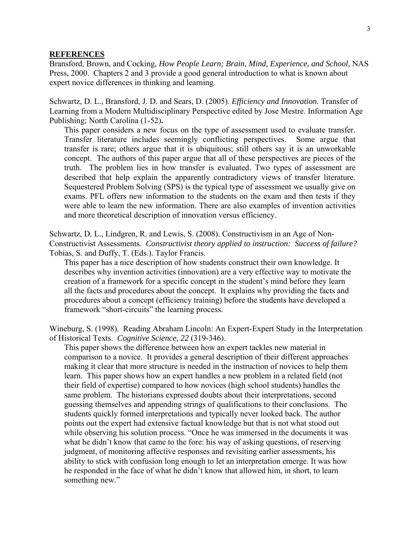#### **REFERENCES**

Bransford, Brown, and Cocking, *How People Learn; Brain, Mind, Experience, and School*, NAS Press, 2000. Chapters 2 and 3 provide a good general introduction to what is known about expert novice differences in thinking and learning.

Schwartz, D. L., Bransford, J. D. and Sears, D. (2005). *Efficiency and Innovation.* Transfer of Learning from a Modern Multidisciplinary Perspective edited by Jose Mestre. Information Age Publishing; North Carolina (1-52)**.** 

This paper considers a new focus on the type of assessment used to evaluate transfer. Transfer literature includes seemingly conflicting perspectives. Some argue that transfer is rare; others argue that it is ubiquitous; still others say it is an unworkable concept. The authors of this paper argue that all of these perspectives are pieces of the truth. The problem lies in how transfer is evaluated. Two types of assessment are described that help explain the apparently contradictory views of transfer literature. Sequestered Problem Solving (SPS) is the typical type of assessment we usually give on exams. PFL offers new information to the students on the exam and then tests if they were able to learn the new information. There are also examples of invention activities and more theoretical description of innovation versus efficiency.

Schwartz, D. L., Lindgren, R. and Lewis, S. (2008). Constructivism in an Age of Non-Constructivist Assessments. *Constructivist theory applied to instruction: Success of failure?*  Tobias, S. and Duffy, T. (Eds.). Taylor Francis.

This paper has a nice description of how students construct their own knowledge. It describes why invention activities (innovation) are a very effective way to motivate the creation of a framework for a specific concept in the student's mind before they learn all the facts and procedures about the concept. It explains why providing the facts and procedures about a concept (efficiency training) before the students have developed a framework "short-circuits" the learning process.

Wineburg, S. (1998). Reading Abraham Lincoln: An Expert-Expert Study in the Interpretation of Historical Texts. *Cognitive Science, 22* (319-346).

This paper shows the difference between how an expert tackles new material in comparison to a novice. It provides a general description of their different approaches making it clear that more structure is needed in the instruction of novices to help them learn. This paper shows how an expert handles a new problem in a related field (not their field of expertise) compared to how novices (high school students) handles the same problem. The historians expressed doubts about their interpretations, second guessing themselves and appending strings of qualifications to their conclusions. The students quickly formed interpretations and typically never looked back. The author points out the expert had extensive factual knowledge but that is not what stood out while observing his solution process. "Once he was immersed in the documents it was what he didn't know that came to the fore: his way of asking questions, of reserving judgment, of monitoring affective responses and revisiting earlier assessments, his ability to stick with confusion long enough to let an interpretation emerge. It was how he responded in the face of what he didn't know that allowed him, in short, to learn something new."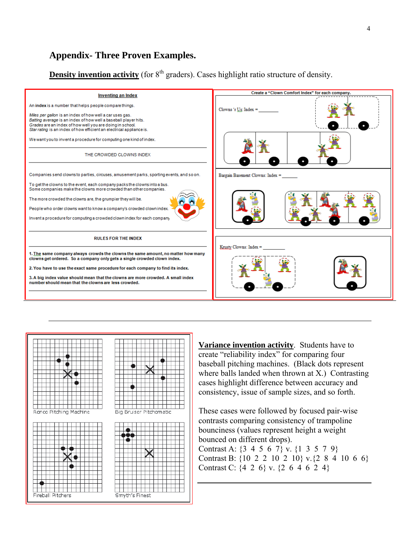# **Appendix- Three Proven Examples.**

**Density invention activity** (for  $8<sup>th</sup>$  graders). Cases highlight ratio structure of density.





**Variance invention activity**. Students have to create "reliability index" for comparing four baseball pitching machines. (Black dots represent where balls landed when thrown at X.) Contrasting cases highlight difference between accuracy and consistency, issue of sample sizes, and so forth.

These cases were followed by focused pair-wise contrasts comparing consistency of trampoline bounciness (values represent height a weight bounced on different drops). Contrast A: {3 4 5 6 7} v. {1 3 5 7 9} Contrast B: {10 2 2 10 2 10} v.{2 8 4 10 6 6} Contrast C: {4 2 6} v. {2 6 4 6 2 4}